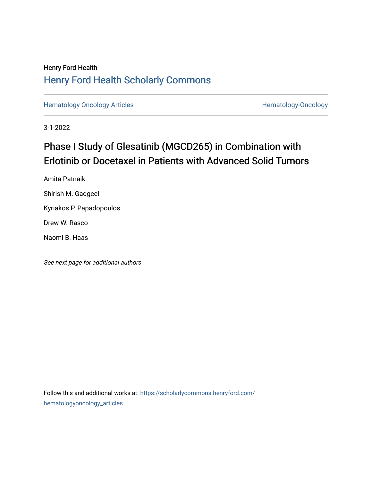## Henry Ford Health [Henry Ford Health Scholarly Commons](https://scholarlycommons.henryford.com/)

[Hematology Oncology Articles](https://scholarlycommons.henryford.com/hematologyoncology_articles) **Hematology-Oncology** 

3-1-2022

# Phase I Study of Glesatinib (MGCD265) in Combination with Erlotinib or Docetaxel in Patients with Advanced Solid Tumors

Amita Patnaik

Shirish M. Gadgeel

Kyriakos P. Papadopoulos

Drew W. Rasco

Naomi B. Haas

See next page for additional authors

Follow this and additional works at: [https://scholarlycommons.henryford.com/](https://scholarlycommons.henryford.com/hematologyoncology_articles?utm_source=scholarlycommons.henryford.com%2Fhematologyoncology_articles%2F234&utm_medium=PDF&utm_campaign=PDFCoverPages) [hematologyoncology\\_articles](https://scholarlycommons.henryford.com/hematologyoncology_articles?utm_source=scholarlycommons.henryford.com%2Fhematologyoncology_articles%2F234&utm_medium=PDF&utm_campaign=PDFCoverPages)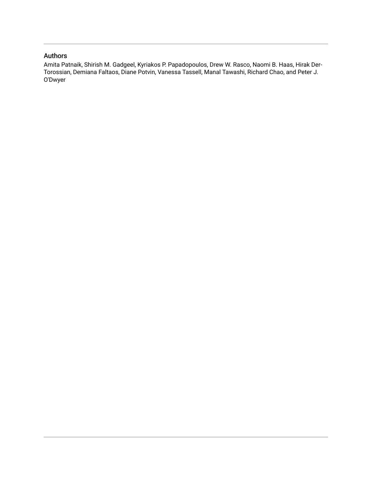## Authors

Amita Patnaik, Shirish M. Gadgeel, Kyriakos P. Papadopoulos, Drew W. Rasco, Naomi B. Haas, Hirak Der-Torossian, Demiana Faltaos, Diane Potvin, Vanessa Tassell, Manal Tawashi, Richard Chao, and Peter J. O'Dwyer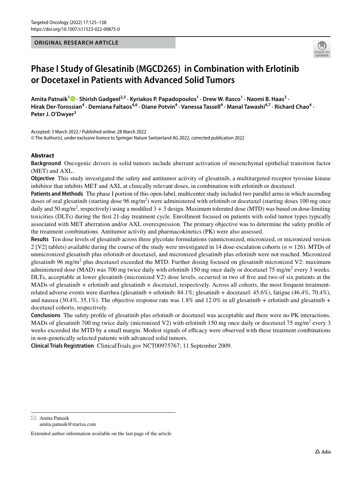### **ORIGINAL RESEARCH ARTICLE**



## **Phase I Study of Glesatinib (MGCD265) in Combination with Erlotinib or Docetaxel in Patients with Advanced Solid Tumors**

Amita Patnaik<sup>1</sup><sup>®</sup> [·](http://orcid.org/0000-0002-4144-2193) Shirish Gadgeel<sup>2,5</sup> · Kyriakos P. Papadopoulos<sup>1</sup> · Drew W. Rasco<sup>1</sup> · Naomi B. Haas<sup>3</sup> · Hirak Der-Torossian<sup>4</sup> · Demiana Faltaos<sup>4,6</sup> · Diane Potvin<sup>4</sup> · Vanessa Tassell<sup>4</sup> · Manal Tawashi<sup>4,7</sup> · Richard Chao<sup>4</sup> · **Peter J. O'Dwyer3**

Accepted: 3 March 2022 / Published online: 28 March 2022

© The Author(s), under exclusive licence to Springer Nature Switzerland AG 2022, corrected publication 2022

## **Abstract**

**Background** Oncogenic drivers in solid tumors include aberrant activation of mesenchymal epithelial transition factor (MET) and AXL.

**Objective** This study investigated the safety and antitumor activity of glesatinib, a multitargeted receptor tyrosine kinase inhibitor that inhibits MET and AXL at clinically relevant doses, in combination with erlotinib or docetaxel.

**Patients and Methods** The phase I portion of this open-label, multicenter study included two parallel arms in which ascending doses of oral glesatinib (starting dose  $96$  mg/m<sup>2</sup>) were administered with erlotinib or docetaxel (starting doses 100 mg once daily and 50 mg/m<sup>2</sup>, respectively) using a modified  $3 + 3$  design. Maximum tolerated dose (MTD) was based on dose-limiting toxicities (DLTs) during the frst 21-day treatment cycle. Enrollment focused on patients with solid tumor types typically associated with MET aberration and/or AXL overexpression. The primary objective was to determine the safety profle of the treatment combinations. Antitumor activity and pharmacokinetics (PK) were also assessed.

**Results** Ten dose levels of glesatinib across three glycolate formulations (unmicronized, micronized, or micronized version 2 [V2] tablets) available during the course of the study were investigated in 14 dose-escalation cohorts (*n* = 126). MTDs of unmicronized glesatinib plus erlotinib or docetaxel, and micronized glesatinib plus erlotinib were not reached. Micronized glesatinib 96 mg/m<sup>2</sup> plus docetaxel exceeded the MTD. Further dosing focused on glesatinib micronized V2: maximum administered dose (MAD) was 700 mg twice daily with erlotinib 150 mg once daily or docetaxel 75 mg/m<sup>2</sup> every 3 weeks. DLTs, acceptable at lower glesatinib (micronized V2) dose levels, occurred in two of fve and two of six patients at the MADs of glesatinib + erlotinib and glesatinib + docetaxel, respectively. Across all cohorts, the most frequent treatmentrelated adverse events were diarrhea (glesatinib + erlotinib: 84.1%; glesatinib + docetaxel: 45.6%), fatigue (46.4%, 70.4%), and nausea (30.4%, 35.1%). The objective response rate was 1.8% and 12.0% in all glesatinib + erlotinib and glesatinib + docetaxel cohorts, respectively.

**Conclusions** The safety profle of glesatinib plus erlotinib or docetaxel was acceptable and there were no PK interactions. MADs of glesatinib 700 mg twice daily (micronized V2) with erlotinib 150 mg once daily or docetaxel 75 mg/m<sup>2</sup> every 3 weeks exceeded the MTD by a small margin. Modest signals of efficacy were observed with these treatment combinations in non-genetically selected patients with advanced solid tumors.

**Clinical Trials Registration** ClinicalTrials.gov NCT00975767; 11 September 2009.

 $\boxtimes$  Amita Patnaik amita.patnaik@startsa.com

Extended author information available on the last page of the article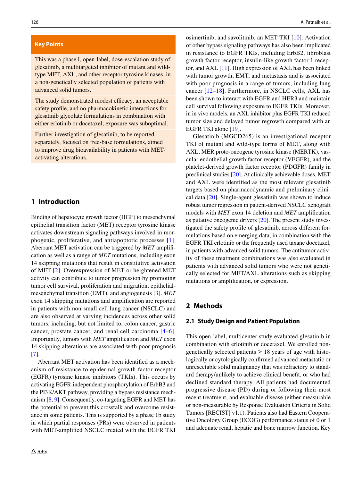#### **Key Points**

This was a phase I, open-label, dose-escalation study of glesatinib, a multitargeted inhibitor of mutant and wildtype MET, AXL, and other receptor tyrosine kinases, in a non-genetically selected population of patients with advanced solid tumors.

The study demonstrated modest efficacy, an acceptable safety profle, and no pharmacokinetic interactions for glesatinib glycolate formulations in combination with either erlotinib or docetaxel; exposure was suboptimal.

Further investigation of glesatinib, to be reported separately, focused on free-base formulations, aimed to improve drug bioavailability in patients with METactivating alterations.

## **1 Introduction**

Binding of hepatocyte growth factor (HGF) to mesenchymal epithelial transition factor (MET) receptor tyrosine kinase activates downstream signaling pathways involved in morphogenic, proliferative, and antiapoptotic processes [[1](#page-14-0)]. Aberrant MET activation can be triggered by *MET* amplifcation as well as a range of *MET* mutations, including exon 14 skipping mutations that result in constitutive activation of MET [[2\]](#page-14-1). Overexpression of MET or heightened MET activity can contribute to tumor progression by promoting tumor cell survival, proliferation and migration, epithelialmesenchymal transition (EMT), and angiogenesis [[3\]](#page-14-2). *MET* exon 14 skipping mutations and amplifcation are reported in patients with non-small cell lung cancer (NSCLC) and are also observed at varying incidences across other solid tumors, including, but not limited to, colon cancer, gastric cancer, prostate cancer, and renal cell carcinoma [\[4–](#page-14-3)[6](#page-14-4)]. Importantly, tumors with *MET* amplifcation and *MET* exon 14 skipping alterations are associated with poor prognosis [\[7](#page-14-5)].

Aberrant MET activation has been identifed as a mechanism of resistance to epidermal growth factor receptor (EGFR) tyrosine kinase inhibitors (TKIs). This occurs by activating EGFR-independent phosphorylation of ErbB3 and the PI3K/AKT pathway, providing a bypass resistance mechanism [\[8,](#page-14-6) [9](#page-14-7)]. Consequently, co-targeting EGFR and MET has the potential to prevent this crosstalk and overcome resistance in some patients. This is supported by a phase 1b study in which partial responses (PRs) were observed in patients with MET-amplifed NSCLC treated with the EGFR TKI osimertinib, and savolitinib, an MET TKI [[10](#page-14-8)]. Activation of other bypass signaling pathways has also been implicated in resistance to EGFR TKIs, including ErbB2, fbroblast growth factor receptor, insulin-like growth factor 1 receptor, and AXL [\[11](#page-14-9)]. High expression of AXL has been linked with tumor growth, EMT, and metastasis and is associated with poor prognosis in a range of tumors, including lung cancer [[12](#page-14-10)–[18\]](#page-15-0). Furthermore, in NSCLC cells, AXL has been shown to interact with EGFR and HER3 and maintain cell survival following exposure to EGFR TKIs. Moreover, in in vivo models, an AXL inhibitor plus EGFR TKI reduced tumor size and delayed tumor regrowth compared with an EGFR TKI alone [\[19](#page-15-1)].

Glesatinib (MGCD265) is an investigational receptor TKI of mutant and wild-type forms of MET, along with AXL, MER proto-oncogene tyrosine kinase (MERTK), vascular endothelial growth factor receptor (VEGFR), and the platelet-derived growth factor receptor (PDGFR) family in preclinical studies [\[20](#page-15-2)]. At clinically achievable doses, MET and AXL were identifed as the most relevant glesatinib targets based on pharmacodynamic and preliminary clinical data [[20](#page-15-2)]. Single-agent glesatinib was shown to induce robust tumor regression in patient-derived NSCLC xenograft models with *MET* exon 14 deletion and *MET* amplifcation as putative oncogenic drivers [[20\]](#page-15-2). The present study investigated the safety profle of glesatinib, across diferent formulations based on emerging data, in combination with the EGFR TKI erlotinib or the frequently used taxane docetaxel, in patients with advanced solid tumors. The antitumor activity of these treatment combinations was also evaluated in patients with advanced solid tumors who were not genetically selected for MET/AXL alterations such as skipping mutations or amplifcation, or expression.

## **2 Methods**

## **2.1 Study Design and Patient Population**

This open-label, multicenter study evaluated glesatinib in combination with erlotinib or docetaxel. We enrolled nongenetically selected patients  $\geq 18$  years of age with histologically or cytologically confrmed advanced metastatic or unresectable solid malignancy that was refractory to standard therapy/unlikely to achieve clinical beneft, or who had declined standard therapy. All patients had documented progressive disease (PD) during or following their most recent treatment, and evaluable disease (either measurable or non-measurable by Response Evaluation Criteria in Solid Tumors [RECIST] v1.1). Patients also had Eastern Cooperative Oncology Group (ECOG) performance status of 0 or 1 and adequate renal, hepatic and bone marrow function. Key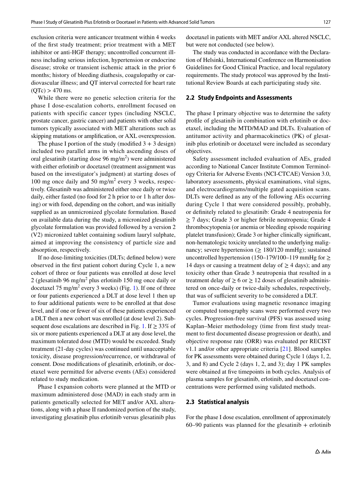exclusion criteria were anticancer treatment within 4 weeks of the frst study treatment; prior treatment with a MET inhibitor or anti-HGF therapy; uncontrolled concurrent illness including serious infection, hypertension or endocrine disease; stroke or transient ischemic attack in the prior 6 months; history of bleeding diathesis, coagulopathy or cardiovascular illness; and QT interval corrected for heart rate  $(QTc) > 470$  ms.

While there were no genetic selection criteria for the phase I dose-escalation cohorts, enrollment focused on patients with specific cancer types (including NSCLC, prostate cancer, gastric cancer) and patients with other solid tumors typically associated with MET alterations such as skipping mutations or amplifcation, or AXL overexpression.

The phase I portion of the study (modified  $3 + 3$  design) included two parallel arms in which ascending doses of oral glesatinib (starting dose  $96 \text{ mg/m}^2$ ) were administered with either erlotinib or docetaxel (treatment assignment was based on the investigator's judgment) at starting doses of 100 mg once daily and 50 mg/m<sup>2</sup> every 3 weeks, respectively. Glesatinib was administered either once daily or twice daily, either fasted (no food for 2 h prior to or 1 h after dosing) or with food, depending on the cohort, and was initially supplied as an unmicronized glycolate formulation. Based on available data during the study, a micronized glesatinib glycolate formulation was provided followed by a version 2 (V2) micronized tablet containing sodium lauryl sulphate, aimed at improving the consistency of particle size and absorption, respectively.

If no dose-limiting toxicities (DLTs; defned below) were observed in the frst patient cohort during Cycle 1, a new cohort of three or four patients was enrolled at dose level 2 (glesatinib 96 mg/m<sup>2</sup> plus erlotinib 150 mg once daily or docetaxel  $75 \text{ mg/m}^2$  every 3 weeks) (Fig. [1\)](#page-5-0). If one of three or four patients experienced a DLT at dose level 1 then up to four additional patients were to be enrolled at that dose level, and if one or fewer of six of these patients experienced a DLT then a new cohort was enrolled (at dose level 2). Sub-sequent dose escalations are described in Fig. [1](#page-5-0). If  $\geq$  33% of six or more patients experienced a DLT at any dose level, the maximum tolerated dose (MTD) would be exceeded. Study treatment (21-day cycles) was continued until unacceptable toxicity, disease progression/recurrence, or withdrawal of consent. Dose modifcations of glesatinib, erlotinib, or docetaxel were permitted for adverse events (AEs) considered related to study medication.

Phase I expansion cohorts were planned at the MTD or maximum administered dose (MAD) in each study arm in patients genetically selected for MET and/or AXL alterations, along with a phase II randomized portion of the study, investigating glesatinib plus erlotinib versus glesatinib plus docetaxel in patients with MET and/or AXL altered NSCLC, but were not conducted (see below).

The study was conducted in accordance with the Declaration of Helsinki, International Conference on Harmonisation Guidelines for Good Clinical Practice, and local regulatory requirements. The study protocol was approved by the Institutional Review Boards at each participating study site.

#### **2.2 Study Endpoints and Assessments**

The phase I primary objective was to determine the safety profle of glesatinib in combination with erlotinib or docetaxel, including the MTD/MAD and DLTs. Evaluation of antitumor activity and pharmacokinetics (PK) of glesatinib plus erlotinib or docetaxel were included as secondary objectives.

Safety assessment included evaluation of AEs, graded according to National Cancer Institute Common Terminology Criteria for Adverse Events (NCI-CTCAE) Version 3.0, laboratory assessments, physical examinations, vital signs, and electrocardiograms/multiple gated acquisition scans. DLTs were defned as any of the following AEs occurring during Cycle 1 that were considered possibly, probably, or defnitely related to glesatinib: Grade 4 neutropenia for ≥ 7 days; Grade 3 or higher febrile neutropenia; Grade 4 thrombocytopenia (or anemia or bleeding episode requiring platelet transfusion); Grade 3 or higher clinically signifcant, non-hematologic toxicity unrelated to the underlying malignancy; severe hypertension ( $\geq 180/120$  mmHg); sustained uncontrolled hypertension (150–179/100–119 mmHg for  $\geq$ 14 days or causing a treatment delay of  $\geq$  4 days); and any toxicity other than Grade 3 neutropenia that resulted in a treatment delay of  $\geq 6$  or  $\geq 12$  doses of glesatinib administered on once-daily or twice-daily schedules, respectively, that was of sufficient severity to be considered a DLT.

Tumor evaluations using magnetic resonance imaging or computed tomography scans were performed every two cycles. Progression-free survival (PFS) was assessed using Kaplan–Meier methodology (time from frst study treatment to frst documented disease progression or death), and objective response rate (ORR) was evaluated per RECIST v1.1 and/or other appropriate criteria [[21\]](#page-15-3). Blood samples for PK assessments were obtained during Cycle 1 (days 1, 2, 3, and 8) and Cycle 2 (days 1, 2, and 3); day 1 PK samples were obtained at fve timepoints in both cycles. Analysis of plasma samples for glesatinib, erlotinib, and docetaxel concentrations were performed using validated methods.

#### **2.3 Statistical analysis**

For the phase I dose escalation, enrollment of approximately  $60-90$  patients was planned for the glesatinib + erlotinib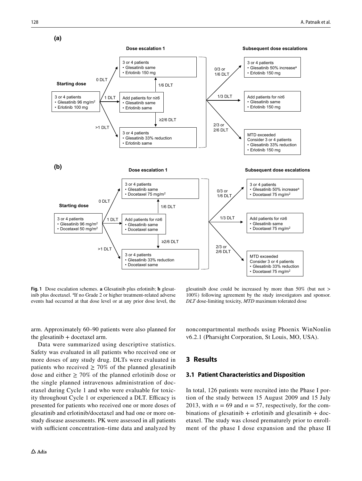

<span id="page-5-0"></span>**Fig. 1** Dose escalation schemes. **a** Glesatinib plus erlotinib; **b** glesatinib plus docetaxel. <sup>a</sup>If no Grade 2 or higher treatment-related adverse events had occurred at that dose level or at any prior dose level, the

glesatinib dose could be increased by more than 50% (but not > 100%) following agreement by the study investigators and sponsor. *DLT* dose-limiting toxicity, *MTD* maximum tolerated dose

arm. Approximately 60–90 patients were also planned for the glesatinib + docetaxel arm.

Data were summarized using descriptive statistics. Safety was evaluated in all patients who received one or more doses of any study drug. DLTs were evaluated in patients who received  $\geq 70\%$  of the planned glesatinib dose and either  $\geq 70\%$  of the planned erlotinib dose or the single planned intravenous administration of docetaxel during Cycle 1 and who were evaluable for toxicity throughout Cycle 1 or experienced a DLT. Efficacy is presented for patients who received one or more doses of glesatinib and erlotinib/docetaxel and had one or more onstudy disease assessments. PK were assessed in all patients with sufficient concentration–time data and analyzed by noncompartmental methods using Phoenix WinNonlin v6.2.1 (Pharsight Corporation, St Louis, MO, USA).

## **3 Results**

#### **3.1 Patient Characteristics and Disposition**

In total, 126 patients were recruited into the Phase I portion of the study between 15 August 2009 and 15 July 2013, with  $n = 69$  and  $n = 57$ , respectively, for the combinations of glesatinib + erlotinib and glesatinib + docetaxel. The study was closed prematurely prior to enrollment of the phase I dose expansion and the phase II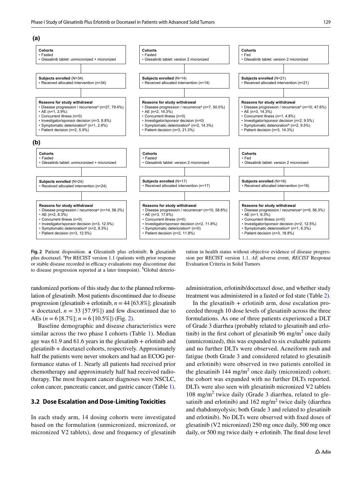

<span id="page-6-0"></span>**Fig. 2** Patient disposition. **a** Glesatinib plus erlotinib; **b** glesatinib plus docetaxel. <sup>a</sup>Per RECIST version 1.1 (patients with prior response or stable disease recorded in efficacy evaluations may discontinue due to disease progression reported at a later timepoint). <sup>b</sup>Global deterioration in health status without objective evidence of disease progression per RECIST version 1.1. *AE* adverse event, *RECIST* Response Evaluation Criteria in Solid Tumors

randomized portions of this study due to the planned reformulation of glesatinib. Most patients discontinued due to disease progression (glesatinib + erlotinib, *n* = 44 [63.8%]; glesatinib + docetaxel,  $n = 33$  [57.9%]) and few discontinued due to AEs (*n* = 6 [8.7%]; *n* = 6 [10.5%]) (Fig. [2](#page-6-0)).

Baseline demographic and disease characteristics were similar across the two phase I cohorts (Table [1\)](#page-7-0). Median age was  $61.9$  and  $61.6$  years in the glesatinib + erlotinib and glesatinib + docetaxel cohorts, respectively. Approximately half the patients were never smokers and had an ECOG performance status of 1. Nearly all patients had received prior chemotherapy and approximately half had received radiotherapy. The most frequent cancer diagnoses were NSCLC, colon cancer, pancreatic cancer, and gastric cancer (Table [1](#page-7-0)).

#### **3.2 Dose Escalation and Dose‑Limiting Toxicities**

In each study arm, 14 dosing cohorts were investigated based on the formulation (unmicronized, micronized, or micronized V2 tablets), dose and frequency of glesatinib administration, erlotinib/docetaxel dose, and whether study treatment was administered in a fasted or fed state (Table [2](#page-8-0)).

In the glesatinib  $+$  erlotinib arm, dose escalation proceeded through 10 dose levels of glesatinib across the three formulations. As one of three patients experienced a DLT of Grade 3 diarrhea (probably related to glesatinib and erlotinib) in the first cohort of glesatinib 96 mg/m<sup>2</sup> once daily (unmicronized), this was expanded to six evaluable patients and no further DLTs were observed. Acneiform rash and fatigue (both Grade 3 and considered related to glesatinib and erlotinib) were observed in two patients enrolled in the glesatinib  $144 \text{ mg/m}^2$  once daily (micronized) cohort; the cohort was expanded with no further DLTs reported. DLTs were also seen with glesatinib micronized V2 tablets  $108 \text{ mg/m}^2$  twice daily (Grade 3 diarrhea, related to glesatinib and erlotinib) and  $162 \text{ mg/m}^2$  twice daily (diarrhea and rhabdomyolysis; both Grade 3 and related to glesatinib and erlotinib). No DLTs were observed with fxed doses of glesatinib (V2 micronized) 250 mg once daily, 500 mg once daily, or 500 mg twice daily + erlotinib. The fnal dose level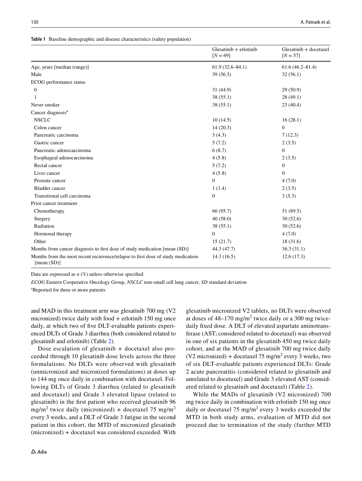<span id="page-7-0"></span>**Table 1** Baseline demographic and disease characteristics (safety population)

|                                                                                                    | $G$ lesatinib + erlotinib<br>$[N = 69]$ | Glesatinib + docetaxel<br>$[N = 57]$ |
|----------------------------------------------------------------------------------------------------|-----------------------------------------|--------------------------------------|
| Age, years [median (range)]                                                                        | $61.9(32.6 - 84.1)$                     | $61.6(46.2 - 81.4)$                  |
| Male                                                                                               | 39(56.5)                                | 32(56.1)                             |
| ECOG performance status                                                                            |                                         |                                      |
| $\boldsymbol{0}$                                                                                   | 31(44.9)                                | 29(50.9)                             |
| 1                                                                                                  | 38(55.1)                                | 28(49.1)                             |
| Never smoker                                                                                       | 38(55.1)                                | 23(40.4)                             |
| Cancer diagnosis <sup>a</sup>                                                                      |                                         |                                      |
| <b>NSCLC</b>                                                                                       | 10(14.5)                                | 16(28.1)                             |
| Colon cancer                                                                                       | 14(20.3)                                | $\overline{0}$                       |
| Pancreatic carcinoma                                                                               | 3(4.3)                                  | 7(12.3)                              |
| Gastric cancer                                                                                     | 5(7.2)                                  | 2(3.5)                               |
| Pancreatic adenocarcinoma                                                                          | 6(8.7)                                  | $\overline{0}$                       |
| Esophageal adenocarcinoma                                                                          | 4(5.8)                                  | 2(3.5)                               |
| Rectal cancer                                                                                      | 5(7.2)                                  | $\boldsymbol{0}$                     |
| Liver cancer                                                                                       | 4(5.8)                                  | $\Omega$                             |
| Prostate cancer                                                                                    | $\boldsymbol{0}$                        | 4(7.0)                               |
| <b>Bladder</b> cancer                                                                              | 1(1.4)                                  | 2(3.5)                               |
| Transitional cell carcinoma                                                                        | $\overline{0}$                          | 3(5.3)                               |
| Prior cancer treatment                                                                             |                                         |                                      |
| Chemotherapy                                                                                       | 66 (95.7)                               | 51 (89.5)                            |
| Surgery                                                                                            | 40(58.0)                                | 30(52.6)                             |
| Radiation                                                                                          | 38(55.1)                                | 30(52.6)                             |
| Hormonal therapy                                                                                   | $\boldsymbol{0}$                        | 4(7.0)                               |
| Other                                                                                              | 15(21.7)                                | 18 (31.6)                            |
| Months from cancer diagnosis to first dose of study medication [mean (SD)]                         | 44.3 (47.7)                             | 36.3(31.1)                           |
| Months from the most recent recurrence/relapse to first dose of study medication<br>[mean $(SD)$ ] | 14.3(16.5)                              | 12.6(17.3)                           |

Data are expressed as *n* (%) unless otherwise specifed

*ECOG* Eastern Cooperative Oncology Group, *NSCLC* non-small cell lung cancer, *SD* standard deviation

a Reported for three or more patients

and MAD in this treatment arm was glesatinib 700 mg (V2 micronized) twice daily with food  $+$  erlotinib 150 mg once daily, at which two of fve DLT-evaluable patients experienced DLTs of Grade 3 diarrhea (both considered related to glesatinib and erlotinib) (Table [2](#page-8-0)).

Dose escalation of glesatinib + docetaxel also proceeded through 10 glesatinib dose levels across the three formulations. No DLTs were observed with glesatinib (unmicronized and micronized formulations) at doses up to 144 mg once daily in combination with docetaxel. Following DLTs of Grade 3 diarrhea (related to glesatinib and docetaxel) and Grade 3 elevated lipase (related to glesatinib) in the frst patient who received glesatinib 96  $mg/m<sup>2</sup>$  twice daily (micronized) + docetaxel 75 mg/m<sup>2</sup> every 3 weeks, and a DLT of Grade 3 fatigue in the second patient in this cohort, the MTD of micronized glesatinib (micronized) + docetaxel was considered exceeded. With glesatinib micronized V2 tablets, no DLTs were observed at doses of  $48-170$  mg/m<sup>2</sup> twice daily or a 300 mg twicedaily fixed dose. A DLT of elevated aspartate aminotransferase (AST; considered related to docetaxel) was observed in one of six patients in the glesatinib 450 mg twice daily cohort, and at the MAD of glesatinib 700 mg twice daily  $(V2$  micronized) + docetaxel 75 mg/m<sup>2</sup> every 3 weeks, two of six DLT-evaluable patients experienced DLTs: Grade 2 acute pancreatitis (considered related to glesatinib and unrelated to docetaxel) and Grade 3 elevated AST (considered related to glesatinib and docetaxel) (Table [2\)](#page-8-0).

While the MADs of glesatinib (V2 micronized) 700 mg twice daily in combination with erlotinib 150 mg once daily or docetaxel  $75 \text{ mg/m}^2$  every 3 weeks exceeded the MTD in both study arms, evaluation of MTD did not proceed due to termination of the study (further MTD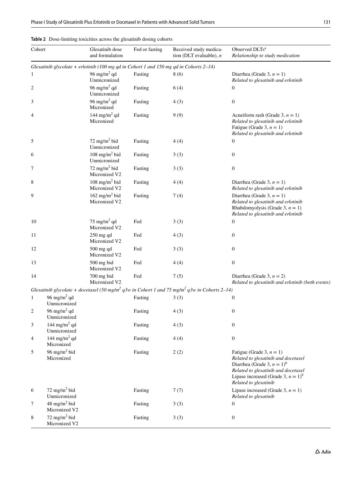| Cohort |                                           | Glesatinib dose<br>and formulation         | Fed or fasting | Received study medica-<br>tion (DLT evaluable), $n$                                                                  | Observed DLTs <sup>a</sup><br>Relationship to study medication                                                                                                                                                                       |
|--------|-------------------------------------------|--------------------------------------------|----------------|----------------------------------------------------------------------------------------------------------------------|--------------------------------------------------------------------------------------------------------------------------------------------------------------------------------------------------------------------------------------|
|        |                                           |                                            |                | Glesatinib glycolate + erlotinib (100 mg qd in Cohort 1 and 150 mg qd in Cohorts $2-14$ )                            |                                                                                                                                                                                                                                      |
| 1      |                                           | 96 mg/m <sup>2</sup> qd<br>Unmicronized    | Fasting        | 8(6)                                                                                                                 | Diarrhea (Grade 3, $n = 1$ )<br>Related to glesatinib and erlotinib                                                                                                                                                                  |
| 2      |                                           | 96 mg/m <sup>2</sup> qd<br>Unmicronized    | Fasting        | 6(4)                                                                                                                 | $\boldsymbol{0}$                                                                                                                                                                                                                     |
| 3      |                                           | 96 mg/m <sup>2</sup> qd<br>Micronized      | Fasting        | 4(3)                                                                                                                 | $\boldsymbol{0}$                                                                                                                                                                                                                     |
| 4      |                                           | 144 mg/m <sup>2</sup> qd<br>Micronized     | Fasting        | 9(9)                                                                                                                 | Acneiform rash (Grade 3, $n = 1$ )<br>Related to glesatinib and erlotinib<br>Fatigue (Grade 3, $n = 1$ )<br>Related to glesatinib and erlotinib                                                                                      |
| 5      |                                           | 72 mg/m <sup>2</sup> bid<br>Unmicronized   | Fasting        | 4(4)                                                                                                                 | $\mathbf{0}$                                                                                                                                                                                                                         |
| 6      |                                           | 108 mg/m <sup>2</sup> bid<br>Unmicronized  | Fasting        | 3(3)                                                                                                                 | $\boldsymbol{0}$                                                                                                                                                                                                                     |
| 7      |                                           | 72 mg/m <sup>2</sup> bid<br>Micronized V2  | Fasting        | 3(3)                                                                                                                 | $\boldsymbol{0}$                                                                                                                                                                                                                     |
| 8      |                                           | 108 mg/m <sup>2</sup> bid<br>Micronized V2 | Fasting        | 4(4)                                                                                                                 | Diarrhea (Grade 3, $n = 1$ )<br>Related to glesatinib and erlotinib                                                                                                                                                                  |
| 9      |                                           | 162 mg/m <sup>2</sup> bid<br>Micronized V2 | Fasting        | 7(4)                                                                                                                 | Diarrhea (Grade 3, $n = 1$ )<br>Related to glesatinib and erlotinib<br>Rhabdomyolysis (Grade 3, $n = 1$ )<br>Related to glesatinib and erlotinib                                                                                     |
| 10     |                                           | 75 mg/m <sup>2</sup> qd<br>Micronized V2   | Fed            | 3(3)                                                                                                                 | $\mathbf{0}$                                                                                                                                                                                                                         |
| 11     |                                           | $250$ mg qd<br>Micronized V2               | Fed            | 4(3)                                                                                                                 | $\boldsymbol{0}$                                                                                                                                                                                                                     |
| 12     |                                           | $500$ mg qd<br>Micronized V2               | Fed            | 3(3)                                                                                                                 | $\boldsymbol{0}$                                                                                                                                                                                                                     |
| 13     |                                           | 500 mg bid<br>Micronized V2                | Fed            | 4(4)                                                                                                                 | $\boldsymbol{0}$                                                                                                                                                                                                                     |
| 14     |                                           | 700 mg bid<br>Micronized V2                | Fed            | 7(5)                                                                                                                 | Diarrhea (Grade 3, $n = 2$ )<br>Related to glesatinib and erlotinib (both events)                                                                                                                                                    |
|        |                                           |                                            |                | Glesatinib glycolate + docetaxel (50 mg/m <sup>2</sup> q3w in Cohort 1 and 75 mg/m <sup>2</sup> q3w in Cohorts 2–14) |                                                                                                                                                                                                                                      |
| 1      | 96 mg/m <sup>2</sup> qd<br>Unmicronized   |                                            | Fasting        | 3(3)                                                                                                                 | $\boldsymbol{0}$                                                                                                                                                                                                                     |
| 2      | 96 mg/m <sup>2</sup> qd<br>Unmicronized   |                                            | Fasting        | 4(3)                                                                                                                 | $\boldsymbol{0}$                                                                                                                                                                                                                     |
| 3      | 144 mg/m <sup>2</sup> qd<br>Unmicronized  |                                            | Fasting        | 4(3)                                                                                                                 | $\boldsymbol{0}$                                                                                                                                                                                                                     |
| 4      | 144 mg/m <sup>2</sup> qd<br>Micronized    |                                            | Fasting        | 4(4)                                                                                                                 | $\boldsymbol{0}$                                                                                                                                                                                                                     |
| 5      | 96 mg/m <sup>2</sup> bid<br>Micronized    |                                            | Fasting        | 2(2)                                                                                                                 | Fatigue (Grade 3, $n = 1$ )<br>Related to glesatinib and docetaxel<br>Diarrhea (Grade 3, $n = 1$ ) <sup>b</sup><br>Related to glesatinib and docetaxel<br>Lipase increased (Grade 3, $n = 1$ ) <sup>b</sup><br>Related to glesatinib |
| 6      | 72 mg/m <sup>2</sup> bid<br>Unmicronized  |                                            | Fasting        | 7(7)                                                                                                                 | Lipase increased (Grade 3, $n = 1$ )<br>Related to glesatinib                                                                                                                                                                        |
| 7      | 48 mg/m <sup>2</sup> bid<br>Micronized V2 |                                            | Fasting        | 3(3)                                                                                                                 | $\boldsymbol{0}$                                                                                                                                                                                                                     |
| 8      | 72 mg/m <sup>2</sup> bid<br>Micronized V2 |                                            | Fasting        | 3(3)                                                                                                                 | $\boldsymbol{0}$                                                                                                                                                                                                                     |

<span id="page-8-0"></span>

| <b>Table 2</b> Dose-limiting toxicities across the glesatinib dosing cohorts |  |
|------------------------------------------------------------------------------|--|
|------------------------------------------------------------------------------|--|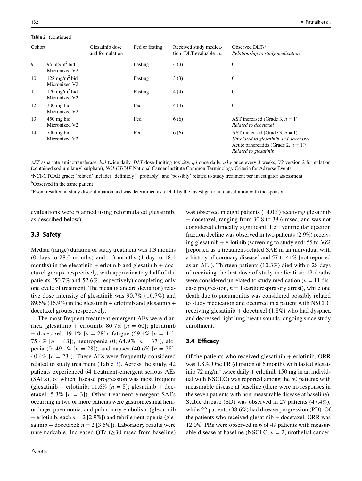#### **Table 2** (continued)

| Cohort |                                            | Glesatinib dose<br>and formulation | Fed or fasting | Received study medica-<br>tion (DLT evaluable), $n$ | Observed DLTs <sup>a</sup><br>Relationship to study medication                                                                                             |
|--------|--------------------------------------------|------------------------------------|----------------|-----------------------------------------------------|------------------------------------------------------------------------------------------------------------------------------------------------------------|
| 9      | 96 mg/m <sup>2</sup> bid<br>Micronized V2  |                                    | Fasting        | 4(3)                                                | $\boldsymbol{0}$                                                                                                                                           |
| 10     | 128 mg/m <sup>2</sup> bid<br>Micronized V2 |                                    | Fasting        | 3(3)                                                | $\boldsymbol{0}$                                                                                                                                           |
| 11     | 170 mg/m <sup>2</sup> bid<br>Micronized V2 |                                    | Fasting        | 4(4)                                                | $\mathbf{0}$                                                                                                                                               |
| 12     | $300$ mg bid<br>Micronized V2              |                                    | Fed            | 4(4)                                                | $\mathbf{0}$                                                                                                                                               |
| 13     | $450$ mg bid<br>Micronized V2              |                                    | Fed            | 6(6)                                                | AST increased (Grade 3, $n = 1$ )<br>Related to docetaxel                                                                                                  |
| 14     | $700$ mg bid<br>Micronized V2              |                                    | Fed            | 6(6)                                                | AST increased (Grade 3, $n = 1$ )<br>Unrelated to glesatinib and docetaxel<br>Acute pancreatitis (Grade 2, $n = 1$ ) <sup>c</sup><br>Related to glesatinib |

*AST* aspartate aminotransferase, *bid* twice daily, *DLT* dose-limiting toxicity, *qd* once daily, *q3w* once every 3 weeks, *V2* version 2 formulation (contained sodium lauryl sulphate), *NCI-CTCAE* National Cancer Institute Common Terminology Criteria for Adverse Events

a NCI-CTCAE grade; 'related' includes 'defnitely', 'probably', and 'possibly' related to study treatment per investigator assessment b Observed in the same patient

c Event resulted in study discontinuation and was determined as a DLT by the investigator, in consultation with the sponsor

evaluations were planned using reformulated glesatinib, as described below).

#### **3.3 Safety**

Median (range) duration of study treatment was 1.3 months (0 days to 28.0 months) and 1.3 months (1 day to 18.1 months) in the glesatinib  $+$  erlotinib and glesatinib  $+$  docetaxel groups, respectively, with approximately half of the patients (50.7% and 52.6%, respectively) completing only one cycle of treatment. The mean (standard deviation) relative dose intensity of glesatinib was 90.7% (16.7%) and 89.6% (16.9%) in the glesatinib + erlotinib and glesatinib + docetaxel groups, respectively.

The most frequent treatment-emergent AEs were diarrhea (glesatinib + erlotinib:  $80.7\%$  [ $n = 60$ ]; glesatinib + docetaxel: 49.1% [*n* = 28]), fatigue (59.4% [*n* = 41]; 75.4% [*n* = 43]), neutropenia (0; 64.9% [*n* = 37]), alopecia (0; 49.1%  $[n = 28]$ ), and nausea (40.6%  $[n = 28]$ ; 40.4%  $[n = 23]$ ). These AEs were frequently considered related to study treatment (Table [3](#page-10-0)). Across the study, 42 patients experienced 64 treatment-emergent serious AEs (SAEs), of which disease progression was most frequent (glesatinib + erlotinib:  $11.6\%$  [ $n = 8$ ]; glesatinib + docetaxel: 5.3%  $[n = 3]$ ). Other treatment-emergent SAEs occurring in two or more patients were gastrointestinal hemorrhage, pneumonia, and pulmonary embolism (glesatinib + erlotinib, each  $n = 2$  [2.9%]) and febrile neutropenia (glesatinib + docetaxel:  $n = 2$  [3.5%]). Laboratory results were unremarkable. Increased QTc  $(\geq)30$  msec from baseline) was observed in eight patients (14.0%) receiving glesatinib + docetaxel, ranging from 30.8 to 38.6 msec, and was not considered clinically signifcant. Left ventricular ejection fraction decline was observed in two patients (2.9%) receiving glesatinib + erlotinib (screening to study end:  $55$  to  $36\%$ [reported as a treatment-related SAE in an individual with a history of coronary disease] and 57 to 41% [not reported as an AE]). Thirteen patients (10.3%) died within 28 days of receiving the last dose of study medication: 12 deaths were considered unrelated to study medication  $(n = 11)$  disease progression,  $n = 1$  cardiorespiratory arrest), while one death due to pneumonitis was considered possibly related to study medication and occurred in a patient with NSCLC receiving glesatinib  $+$  docetaxel (1.8%) who had dyspnea and decreased right lung breath sounds, ongoing since study enrollment.

#### **3.4 Efcacy**

Of the patients who received glesatinib  $+$  erlotinib, ORR was 1.8%. One PR (duration of 6 months with fasted glesatinib 72 mg/m<sup>2</sup> twice daily + erlotinib 150 mg in an individual with NSCLC) was reported among the 50 patients with measurable disease at baseline (there were no responses in the seven patients with non-measurable disease at baseline). Stable disease (SD) was observed in 27 patients (47.4%), while 22 patients (38.6%) had disease progression (PD). Of the patients who received glesatinib + docetaxel, ORR was 12.0%. PRs were observed in 6 of 49 patients with measurable disease at baseline (NSCLC,  $n = 2$ ; urothelial cancer,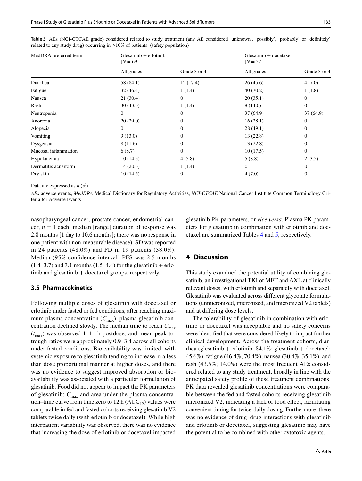| MedDRA preferred term | $G$ lesatini $b +$ erlotini $b$<br>$[N = 69]$ |                | $G$ lesatinib + docetaxel<br>$[N = 57]$ |                  |  |
|-----------------------|-----------------------------------------------|----------------|-----------------------------------------|------------------|--|
|                       | All grades                                    | Grade 3 or 4   | All grades                              | Grade 3 or 4     |  |
| Diarrhea              | 58 (84.1)                                     | 12(17.4)       | 26(45.6)                                | 4(7.0)           |  |
| Fatigue               | 32(46.4)                                      | 1(1.4)         | 40(70.2)                                | 1(1.8)           |  |
| Nausea                | 21(30.4)                                      | $\theta$       | 20(35.1)                                | $\mathbf{0}$     |  |
| Rash                  | 30(43.5)                                      | 1(1.4)         | 8(14.0)                                 | $\boldsymbol{0}$ |  |
| Neutropenia           | $\mathbf{0}$                                  | $\theta$       | 37(64.9)                                | 37(64.9)         |  |
| Anorexia              | 20(29.0)                                      | $\Omega$       | 16(28.1)                                | $\boldsymbol{0}$ |  |
| Alopecia              | $\mathbf{0}$                                  | $\Omega$       | 28(49.1)                                | $\mathbf{0}$     |  |
| Vomiting              | 9(13.0)                                       | $\Omega$       | 13(22.8)                                | $\mathbf{0}$     |  |
| Dysgeusia             | 8 (11.6)                                      | $\theta$       | 13(22.8)                                | $\boldsymbol{0}$ |  |
| Mucosal inflammation  | 6(8.7)                                        | $\overline{0}$ | 10(17.5)                                | $\boldsymbol{0}$ |  |
| Hypokalemia           | 10(14.5)                                      | 4(5.8)         | 5(8.8)                                  | 2(3.5)           |  |
| Dermatitis acneiform  | 14(20.3)                                      | 1(1.4)         | $\mathbf{0}$                            | $\boldsymbol{0}$ |  |
| Dry skin              | 10(14.5)                                      | $\overline{0}$ | 4(7.0)                                  | $\boldsymbol{0}$ |  |

<span id="page-10-0"></span>**Table 3** AEs (NCI-CTCAE grade) considered related to study treatment (any AE considered 'unknown', 'possibly', 'probably' or 'defnitely' related to any study drug) occurring in ≥10% of patients (safety population)

Data are expressed as *n* (%)

*AEs* adverse events, *MedDRA* Medical Dictionary for Regulatory Activities, *NCI-CTCAE* National Cancer Institute Common Terminology Criteria for Adverse Events

nasopharyngeal cancer, prostate cancer, endometrial cancer,  $n = 1$  each; median [range] duration of response was 2.8 months [1 day to 10.6 months]; there was no response in one patient with non-measurable disease). SD was reported in 24 patients (48.0%) and PD in 19 patients (38.0%). Median (95% confdence interval) PFS was 2.5 months  $(1.4–3.7)$  and 3.1 months  $(1.5–4.4)$  for the glesatinib + erlotinib and glesatinib + docetaxel groups, respectively.

### **3.5 Pharmacokinetics**

Following multiple doses of glesatinib with docetaxel or erlotinib under fasted or fed conditions, after reaching maximum plasma concentration  $(C_{\text{max}})$ , plasma glesatinib concentration declined slowly. The median time to reach  $C_{\text{max}}$  $(t_{\text{max}})$  was observed 1–11 h postdose, and mean peak-totrough ratios were approximately 0.9–3.4 across all cohorts under fasted conditions. Bioavailability was limited, with systemic exposure to glesatinib tending to increase in a less than dose proportional manner at higher doses, and there was no evidence to suggest improved absorption or bioavailability was associated with a particular formulation of glesatinib. Food did not appear to impact the PK parameters of glesatinib:  $C_{\text{max}}$  and area under the plasma concentration–time curve from time zero to 12 h  $(AUC_{12})$  values were comparable in fed and fasted cohorts receiving glesatinib V2 tablets twice daily (with erlotinib or docetaxel). While high interpatient variability was observed, there was no evidence that increasing the dose of erlotinib or docetaxel impacted glesatinib PK parameters, or *vice versa*. Plasma PK parameters for glesatinib in combination with erlotinib and docetaxel are summarized Tables [4](#page-11-0) and [5,](#page-12-0) respectively.

## **4 Discussion**

This study examined the potential utility of combining glesatinib, an investigational TKI of MET and AXL at clinically relevant doses, with erlotinib and separately with docetaxel. Glesatinib was evaluated across diferent glycolate formulations (unmicronized, micronized, and micronized V2 tablets) and at difering dose levels.

The tolerability of glesatinib in combination with erlotinib or docetaxel was acceptable and no safety concerns were identifed that were considered likely to impact further clinical development. Across the treatment cohorts, diarrhea (glesatinib + erlotinib: 84.1%; glesatinib + docetaxel: 45.6%), fatigue (46.4%; 70.4%), nausea (30.4%; 35.1%), and rash (43.5%; 14.0%) were the most frequent AEs considered related to any study treatment, broadly in line with the anticipated safety profle of these treatment combinations. PK data revealed glesatinib concentrations were comparable between the fed and fasted cohorts receiving glesatinib micronized V2, indicating a lack of food efect, facilitating convenient timing for twice-daily dosing. Furthermore, there was no evidence of drug–drug interactions with glesatinib and erlotinib or docetaxel, suggesting glesatinib may have the potential to be combined with other cytotoxic agents.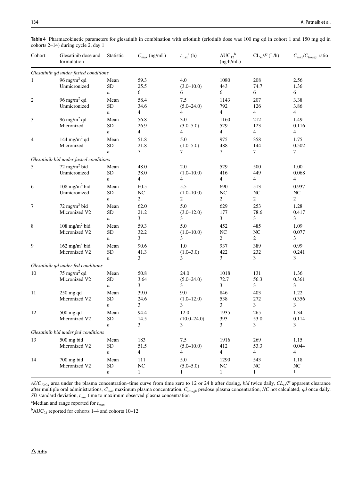<span id="page-11-0"></span>**Table 4** Pharmacokinetic parameters for glesatinib in combination with erlotinib (erlotinib dose was 100 mg qd in cohort 1 and 150 mg qd in cohorts 2–14) during cycle 2, day 1

| Cohort         | Glesatinib dose and<br>formulation          | Statistic                              | $C_{\text{max}}$ (ng/mL)          | $t_{\rm max}^{\quad \  a}$ (h)            | $AUC_{12}^{\ b}$<br>$(ng \cdot h/mL)$     | $CL_{ss}/F$ (L/h)             | $C_{\text{max}}/C_{\text{trough}}$ ratio |
|----------------|---------------------------------------------|----------------------------------------|-----------------------------------|-------------------------------------------|-------------------------------------------|-------------------------------|------------------------------------------|
|                | Glesatinib qd under fasted conditions       |                                        |                                   |                                           |                                           |                               |                                          |
| 1              | 96 mg/m <sup>2</sup> qd<br>Unmicronized     | Mean<br><b>SD</b><br>$\boldsymbol{n}$  | 59.3<br>25.5<br>6                 | 4.0<br>$(3.0 - 10.0)$<br>6                | 1080<br>443<br>6                          | 208<br>74.7<br>6              | 2.56<br>1.36<br>6                        |
| $\overline{c}$ | 96 mg/m <sup>2</sup> qd<br>Unmicronized     | Mean<br><b>SD</b><br>$\boldsymbol{n}$  | 58.4<br>34.6<br>4                 | 7.5<br>$(5.0 - 24.0)$<br>4                | 1143<br>792<br>4                          | 207<br>126<br>$\overline{4}$  | 3.38<br>3.86<br>$\overline{4}$           |
| 3              | 96 mg/m <sup>2</sup> qd<br>Micronized       | Mean<br><b>SD</b><br>$\boldsymbol{n}$  | 56.8<br>26.9<br>4                 | 3.0<br>$(3.0 - 5.0)$<br>4                 | 1160<br>529<br>$\overline{4}$             | 212<br>123<br>$\overline{4}$  | 1.49<br>0.116<br>$\overline{4}$          |
| $\overline{4}$ | 144 mg/m <sup>2</sup> qd<br>Micronized      | Mean<br><b>SD</b><br>$\boldsymbol{n}$  | 51.8<br>21.8<br>$\overline{7}$    | 5.0<br>$(1.0 - 5.0)$<br>7                 | 975<br>488<br>$\tau$                      | 358<br>144<br>$\overline{7}$  | 1.75<br>0.502<br>$\tau$                  |
|                | Glesatinib bid under fasted conditions      |                                        |                                   |                                           |                                           |                               |                                          |
| 5              | $72$ mg/m <sup>2</sup> bid<br>Unmicronized  | Mean<br><b>SD</b><br>$\boldsymbol{n}$  | 48.0<br>38.0<br>$\overline{4}$    | 2.0<br>$(1.0 - 10.0)$<br>$\overline{4}$   | 529<br>416<br>4                           | 500<br>449<br>4               | 1.00<br>0.068<br>$\overline{4}$          |
| 6              | $108$ mg/m <sup>2</sup> bid<br>Unmicronized | Mean<br><b>SD</b><br>$\boldsymbol{n}$  | 60.5<br>NC<br>$\overline{2}$      | 5.5<br>$(1.0 - 10.0)$<br>$\overline{c}$   | 690<br>$_{\mathrm{NC}}$<br>$\overline{c}$ | 513<br>NC<br>2                | 0.937<br>NC<br>2                         |
| 7              | 72 mg/m $^2$ bid<br>Micronized V2           | Mean<br><b>SD</b><br>$\boldsymbol{n}$  | 62.0<br>21.2<br>3                 | 5.0<br>$(3.0 - 12.0)$<br>3                | 629<br>177<br>3                           | 253<br>78.6<br>3              | 1.28<br>0.417<br>3                       |
| 8              | 108 mg/m <sup>2</sup> bid<br>Micronized V2  | Mean<br><b>SD</b><br>$\boldsymbol{n}$  | 59.3<br>32.2<br>3                 | 5.0<br>$(1.0 - 10.0)$<br>3                | 452<br>NC<br>2                            | 485<br>NC<br>2                | 1.09<br>0.077<br>3                       |
| 9              | 162 mg/m <sup>2</sup> bid<br>Micronized V2  | Mean<br><b>SD</b><br>$\boldsymbol{n}$  | 90.6<br>41.3<br>3                 | 1.0<br>$(1.0 - 3.0)$<br>3                 | 937<br>422<br>3                           | 389<br>232<br>3               | 0.99<br>0.241<br>3                       |
|                | Glesatinib qd under fed conditions          |                                        |                                   |                                           |                                           |                               |                                          |
| 10             | 75 mg/m <sup>2</sup> qd<br>Micronized V2    | Mean<br><b>SD</b><br>$\boldsymbol{n}$  | 50.8<br>3.64<br>3                 | 24.0<br>$(5.0 - 24.0)$<br>3               | 1018<br>72.7<br>3                         | 131<br>56.3<br>3              | 1.36<br>0.361<br>3                       |
| 11             | 250 mg qd<br>Micronized V2                  | Mean<br><b>SD</b><br>$\boldsymbol{n}$  | 39.0<br>24.6<br>3                 | 9.0<br>$(1.0 - 12.0)$<br>3                | 846<br>538<br>3                           | 403<br>272<br>3               | 1.22<br>0.356<br>3                       |
| 12             | 500 mg qd<br>Micronized V2                  | Mean<br><b>SD</b><br>n                 | 94.4<br>14.5<br>$\mathfrak{Z}$    | 12.0<br>$(10.0 - 24.0)$<br>$\mathfrak{Z}$ | 1935<br>393<br>3                          | 265<br>53.0<br>$\mathfrak{Z}$ | 1.34<br>0.114<br>$\mathfrak{Z}$          |
|                | Glesatinib bid under fed conditions         |                                        |                                   |                                           |                                           |                               |                                          |
| 13             | 500 mg bid<br>Micronized V2                 | Mean<br>${\rm SD}$<br>$\boldsymbol{n}$ | 183<br>51.5<br>4                  | 7.5<br>$(5.0 - 10.0)$<br>4                | 1916<br>412<br>$\overline{4}$             | 269<br>53.3<br>$\overline{4}$ | 1.15<br>0.044<br>$\overline{4}$          |
| 14             | 700 mg bid<br>Micronized V2                 | Mean<br><b>SD</b><br>$\boldsymbol{n}$  | 111<br>${\rm NC}$<br>$\mathbf{1}$ | 5.0<br>$(5.0 - 5.0)$<br>$\mathbf{1}$      | 1290<br>${\rm NC}$<br>$\mathbf{1}$        | 543<br>NC<br>$\mathbf{1}$     | 1.18<br>NC<br>$\mathbf{1}$               |

*AUC12/24* area under the plasma concentration–time curve from time zero to 12 or 24 h after dosing, *bid* twice daily, *CLss/F* apparent clearance after multiple oral administrations, *Cmax* maximum plasma concentration, *Ctrough* predose plasma concentration, *NC* not calculated, *qd* once daily, *SD* standard deviation,  $t_{max}$  time to maximum observed plasma concentration

<sup>a</sup>Median and range reported for  $t_{\text{max}}$ 

 $b$ AUC<sub>24</sub> reported for cohorts 1–4 and cohorts 10–12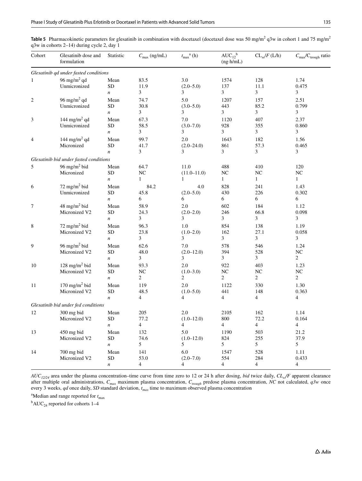<span id="page-12-0"></span>**Table 5** Pharmacokinetic parameters for glesatinib in combination with docetaxel (docetaxel dose was 50 mg/m<sup>2</sup> q3w in cohort 1 and 75 mg/m<sup>2</sup> q3w in cohorts 2–14) during cycle 2, day 1

| Cohort           | Glesatinib dose and<br>formulation         | Statistic          | $C_{\text{max}}$ (ng/mL) | $t_{\max}^{\quad a}(h)$ | $AUC_{12}^b$<br>$(ng \cdot h/mL)$ | $CL_{ss}/F$ (L/h) | $C_{\text{max}}/C_{\text{trough}}$ ratio |
|------------------|--------------------------------------------|--------------------|--------------------------|-------------------------|-----------------------------------|-------------------|------------------------------------------|
|                  | Glesatinib qd under fasted conditions      |                    |                          |                         |                                   |                   |                                          |
| $\mathbf{1}$     | 96 mg/m <sup>2</sup> qd                    | Mean               | 83.5                     | 3.0                     | 1574                              | 128               | 1.74                                     |
|                  | Unmicronized                               | <b>SD</b>          | 11.9                     | $(2.0 - 5.0)$           | 137                               | 11.1              | 0.475                                    |
|                  |                                            | $\boldsymbol{n}$   | 3                        | 3                       | 3                                 | 3                 | 3                                        |
| $\boldsymbol{2}$ | 96 mg/m <sup>2</sup> qd                    | Mean               | 74.7                     | 5.0                     | 1207                              | 157               | 2.51                                     |
|                  | Unmicronized                               | <b>SD</b>          | 30.8                     | $(3.0 - 5.0)$           | 443                               | 85.2              | 0.799                                    |
|                  |                                            | $\boldsymbol{n}$   | 3                        | 3                       | 3                                 | 3                 | 3                                        |
| 3                | 144 mg/m <sup>2</sup> qd                   | Mean               | 67.3                     | $7.0\,$                 | 1120                              | 407               | 2.37                                     |
|                  | Unmicronized                               | <b>SD</b>          | 58.5<br>3                | $(3.0 - 7.0)$<br>3      | 928<br>3                          | 355<br>3          | 0.860<br>3                               |
|                  |                                            | $\boldsymbol{n}$   |                          |                         |                                   |                   |                                          |
| 4                | 144 mg/m <sup>2</sup> qd<br>Micronized     | Mean<br>${\rm SD}$ | 99.7<br>41.7             | 2.0<br>$(2.0 - 24.0)$   | 1643<br>861                       | 182<br>57.3       | 1.56<br>0.465                            |
|                  |                                            | $\boldsymbol{n}$   | 3                        | 3                       | 3                                 | 3                 | 3                                        |
|                  | Glesatinib bid under fasted conditions     |                    |                          |                         |                                   |                   |                                          |
| 5                | 96 mg/m <sup>2</sup> bid                   | Mean               | 64.7                     | 11.0                    | 488                               | 410               | 120                                      |
|                  | Micronized                                 | <b>SD</b>          | NC                       | $(11.0 - 11.0)$         | NC                                | NC                | NC                                       |
|                  |                                            | $\boldsymbol{n}$   | $\mathbf{1}$             | $\mathbf{1}$            | $\mathbf{1}$                      | $\mathbf{1}$      | $\mathbf{1}$                             |
| 6                | $72$ mg/m <sup>2</sup> bid                 | Mean               | 84.2                     | 4.0                     | 828                               | 241               | 1.43                                     |
|                  | Unmicronized                               | <b>SD</b>          | 45.8                     | $(2.0 - 5.0)$           | 430                               | 226               | 0.302                                    |
|                  |                                            | $\boldsymbol{n}$   | 6                        | 6                       | 6                                 | 6                 | 6                                        |
| 7                | 48 mg/m <sup>2</sup> bid                   | Mean               | 58.9                     | 2.0                     | 602                               | 184               | 1.12                                     |
|                  | Micronized V2                              | ${\rm SD}$         | 24.3                     | $(2.0 - 2.0)$           | 246                               | 66.8              | 0.098                                    |
|                  |                                            | $\boldsymbol{n}$   | 3                        | 3                       | 3                                 | 3                 | 3                                        |
| 8                | 72 mg/m <sup>2</sup> bid                   | Mean               | 96.3                     | 1.0                     | 854                               | 138               | 1.19                                     |
|                  | Micronized V2                              | <b>SD</b>          | 23.8                     | $(1.0 - 2.0)$           | 162                               | 27.1              | 0.058                                    |
|                  |                                            | $\boldsymbol{n}$   | 3                        | 3                       | 3                                 | 3                 | 3                                        |
| 9                | 96 mg/m $2$ bid                            | Mean               | 62.6                     | 7.0                     | 578                               | 546               | 1.24                                     |
|                  | Micronized V2                              | <b>SD</b>          | 48.0<br>3                | $(2.0 - 12.0)$<br>3     | 394<br>3                          | 528<br>3          | NC<br>$\overline{2}$                     |
|                  |                                            | $\boldsymbol{n}$   |                          |                         |                                   |                   |                                          |
| 10               | 128 mg/m <sup>2</sup> bid<br>Micronized V2 | Mean<br><b>SD</b>  | 93.3<br>NC               | 2.0<br>$(1.0 - 3.0)$    | 922<br>NC                         | 403<br>NC         | 1.23<br>NC                               |
|                  |                                            | $\boldsymbol{n}$   | $\overline{c}$           | $\overline{c}$          | $\overline{c}$                    | $\overline{c}$    | $\overline{c}$                           |
| 11               | 170 mg/m <sup>2</sup> bid                  | Mean               | 119                      | 2.0                     | 1122                              | 330               | 1.30                                     |
|                  | Micronized V2                              | <b>SD</b>          | 48.5                     | $(1.0 - 5.0)$           | 441                               | 148               | 0.363                                    |
|                  |                                            | $\boldsymbol{n}$   | $\overline{4}$           | 4                       | $\overline{4}$                    | $\overline{4}$    | $\overline{4}$                           |
|                  | Glesatinib bid under fed conditions        |                    |                          |                         |                                   |                   |                                          |
| 12               | 300 mg bid                                 | Mean               | 205                      | 2.0                     | 2105                              | 162               | 1.14                                     |
|                  | Micronized V2                              | <b>SD</b>          | 77.2                     | $(1.0 - 12.0)$          | 800                               | 72.2              | 0.164                                    |
|                  |                                            | $\boldsymbol{n}$   | $\overline{4}$           | $\overline{4}$          | $\overline{4}$                    | $\overline{4}$    | $\overline{4}$                           |
| 13               | $450$ mg bid                               | Mean               | 132                      | 5.0                     | 1190                              | 503               | 21.2                                     |
|                  | Micronized V2                              | <b>SD</b>          | 74.6                     | $(1.0 - 12.0)$          | 824                               | 255               | 37.9                                     |
|                  |                                            | $\boldsymbol{n}$   | 5                        | 5                       | 5                                 | 5                 | 5                                        |
| 14               | $700$ mg bid                               | Mean               | 141                      | 6.0                     | 1547                              | 528               | 1.11                                     |
|                  | Micronized V2                              | <b>SD</b>          | 53.0                     | $(2.0 - 7.0)$           | 554                               | 284               | 0.433                                    |
|                  |                                            | $\boldsymbol{n}$   | $\overline{4}$           | 4                       | 4                                 | $\overline{4}$    | 4                                        |

 $AUC_{12/24}$  area under the plasma concentration–time curve from time zero to 12 or 24 h after dosing, *bid* twice daily,  $CL_{\mathcal{A}}/F$  apparent clearance after multiple oral administrations,  $C_{max}$  maximum plasma concentration,  $C_{rough}$  predose plasma concentration, *NC* not calculated,  $q3w$  once every 3 weeks, *qd* once daily, *SD* standard deviation, *tmax* time to maximum observed plasma concentration

<sup>a</sup>Median and range reported for  $t_{\text{max}}$ 

 ${}^{\text{b}}$ AUC<sub>24</sub> reported for cohorts 1–4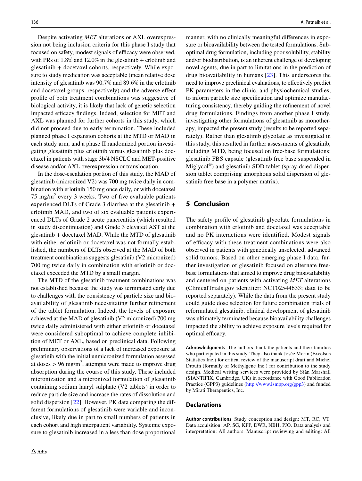Despite activating *MET* alterations or AXL overexpression not being inclusion criteria for this phase I study that focused on safety, modest signals of efficacy were observed, with PRs of  $1.8\%$  and  $12.0\%$  in the glesatinib + erlotinib and glesatinib + docetaxel cohorts, respectively. While exposure to study medication was acceptable (mean relative dose intensity of glesatinib was 90.7% and 89.6% in the erlotinib and docetaxel groups, respectively) and the adverse efect profle of both treatment combinations was suggestive of biological activity, it is likely that lack of genetic selection impacted efficacy findings. Indeed, selection for MET and AXL was planned for further cohorts in this study, which did not proceed due to early termination. These included planned phase I expansion cohorts at the MTD or MAD in each study arm, and a phase II randomized portion investigating glesatinib plus erlotinib versus glesatinib plus docetaxel in patients with stage 3b/4 NSCLC and MET-positive disease and/or AXL overexpression or translocation.

In the dose-escalation portion of this study, the MAD of glesatinib (micronized V2) was 700 mg twice daily in combination with erlotinib 150 mg once daily, or with docetaxel 75 mg/m<sup>2</sup> every 3 weeks. Two of five evaluable patients experienced DLTs of Grade 3 diarrhea at the glesatinib + erlotinib MAD, and two of six evaluable patients experienced DLTs of Grade 2 acute pancreatitis (which resulted in study discontinuation) and Grade 3 elevated AST at the glesatinib + docetaxel MAD. While the MTD of glesatinib with either erlotinib or docetaxel was not formally established, the numbers of DLTs observed at the MAD of both treatment combinations suggests glesatinib (V2 micronized) 700 mg twice daily in combination with erlotinib or docetaxel exceeded the MTD by a small margin.

The MTD of the glesatinib treatment combinations was not established because the study was terminated early due to challenges with the consistency of particle size and bioavailability of glesatinib necessitating further refnement of the tablet formulation. Indeed, the levels of exposure achieved at the MAD of glesatinib (V2 micronized) 700 mg twice daily administered with either erlotinib or docetaxel were considered suboptimal to achieve complete inhibition of MET or AXL, based on preclinical data. Following preliminary observations of a lack of increased exposure at glesatinib with the initial unmicronized formulation assessed at doses  $> 96$  mg/m<sup>2</sup>, attempts were made to improve drug absorption during the course of this study. These included micronization and a micronized formulation of glesatinib containing sodium lauryl sulphate (V2 tablets) in order to reduce particle size and increase the rates of dissolution and solid dispersion [\[22](#page-15-4)]. However, PK data comparing the different formulations of glesatinib were variable and inconclusive, likely due in part to small numbers of patients in each cohort and high interpatient variability. Systemic exposure to glesatinib increased in a less than dose proportional

manner, with no clinically meaningful diferences in exposure or bioavailability between the tested formulations. Suboptimal drug formulation, including poor solubility, stability and/or biodistribution, is an inherent challenge of developing novel agents, due in part to limitations in the prediction of drug bioavailability in humans [\[23\]](#page-15-5). This underscores the need to improve preclinical evaluations, to efectively predict PK parameters in the clinic, and physiochemical studies, to inform particle size specifcation and optimize manufacturing consistency, thereby guiding the refnement of novel drug formulations. Findings from another phase I study, investigating other formulations of glesatinib as monotherapy, impacted the present study (results to be reported separately). Rather than glesatinib glycolate as investigated in this study, this resulted in further assessments of glesatinib, including MTD, being focused on free-base formulations: glesatinib FBS capsule (glesatinib free base suspended in Miglycol®) and glesatinib SDD tablet (spray-dried dispersion tablet comprising amorphous solid dispersion of glesatinib free base in a polymer matrix).

## **5 Conclusion**

The safety profle of glesatinib glycolate formulations in combination with erlotinib and docetaxel was acceptable and no PK interactions were identified. Modest signals of efficacy with these treatment combinations were also observed in patients with genetically unselected, advanced solid tumors. Based on other emerging phase I data, further investigation of glesatinib focused on alternate freebase formulations that aimed to improve drug bioavailability and centered on patients with activating *MET* alterations (ClinicalTrials.gov identifer: NCT02544633; data to be reported separately). While the data from the present study could guide dose selection for future combination trials of reformulated glesatinib, clinical development of glesatinib was ultimately terminated because bioavailability challenges impacted the ability to achieve exposure levels required for optimal efficacy.

**Acknowledgments** The authors thank the patients and their families who participated in this study. They also thank Josée Morin (Excelsus Statistics Inc.) for critical review of the manuscript draft and Michel Drouin (formally of Methylgene Inc.) for contribution to the study design. Medical writing services were provided by Siân Marshall (SIANTIFIX, Cambridge, UK) in accordance with Good Publication Practice (GPP3) guidelines [\(http://www.ismpp.org/gpp3](http://www.ismpp.org/gpp3)) and funded by Mirati Therapeutics, Inc.

#### **Declarations**

**Author contributions** Study conception and design: MT, RC, VT. Data acquisition: AP, SG, KPP, DWR, NBH, PJO. Data analysis and interpretation: All authors. Manuscript reviewing and editing: All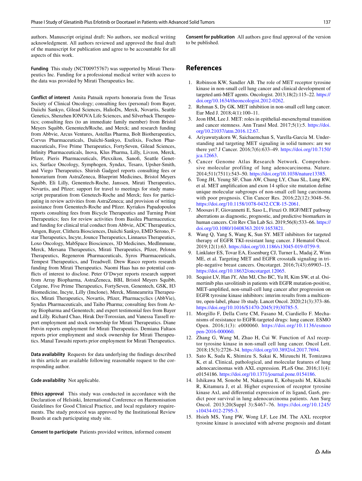authors. Manuscript original draft: No authors, see medical writing acknowledgment. All authors reviewed and approved the fnal draft of the manuscript for publication and agree to be accountable for all aspects of this work.

**Funding** This study (NCT00975767) was supported by Mirati Therapeutics Inc. Funding for a professional medical writer with access to the data was provided by Mirati Therapeutics Inc.

**Conflict of interest** Amita Patnaik reports honoraria from the Texas Society of Clinical Oncology; consulting fees (personal) from Bayer, Daiichi Sankyo, Gilead Sciences, HalioDx, Merck, Novartis, Seattle Genetics, Shenzhen IONOVA Life Sciences, and Silverback Therapeutics; consulting fees (to an immediate family member) from Bristol Meyers Squibb, Genentech/Roche, and Merck; and research funding from Abbvie, Arcus Ventures, Astellas Pharma, Bolt Biotherapeutics, Corvus Pharmaceuticals, Daiichi-Sankyo, Exelixis, Fochon Pharmaceuticals, Five Prime Therapeutics, FortySeven, Gilead Sciences, Infnity Pharmaceuticals, Inova, Klus Pharma, Lilly, Livzon, Merck, Pfzer, Pieris Pharmaceuticals, Plexxikon, Sanof, Seattle Genetics, Surface Oncology, Symphogen, Syndax, Tesaro, Upsher-Smith, and Viego Therapeutics. Shirish Gadgeel reports consulting fees or honorarium from AstraZeneca, Blueprint Medicines, Bristol Meyers Squibb, Eli Lilly, Genentech-Roche, Janssen, Mirati Therapeutics, Novartis, and Pfizer; support for travel to meetings for study manuscript preparation from Genetech-Roche and Merck; fees for participating in review activities from AstraZeneca; and provision of writing assistance from Genentech-Roche and Pfzer. Kyriakos Papadopoulos reports consulting fees from Bicycle Therapeutics and Turning Point Therapeutics; fees for review activities from Basilea Pharmaceutica; and funding for clinical trial conduct from Abbvie, ADC Therapeutics, Amgen, Bayer, Clithera Biosciences, Daiichi Sankyo, EMD Serono, Fstar Therapeutics, Incyte, Jounce Therapeutics, Linnaeus Therapeutics, Loxo Oncology, MabSpace Biosciences, 3D Medicines, MedImmune, Merck, Mersana Therapeutics, Mirati Therapeutics, Pfizer, Peloton Therapeutics, Regeneron Pharmaceuticals, Syros Pharmaceuticals, Tempest Therapeutics, and Treadwell. Drew Rasco reports research funding from Mirati Therapeutics. Naomi Haas has no potential conficts of interest to disclose. Peter O'Dwyer reports research support from Array Biopharma, AstraZeneca, BBI, Bristol Meyers Squibb, Celgene, Five Prime Therapeutics, FortySeven, Genentech, GSK, H3 Biomedicine, Incyte, Lilly (Imclone), Merck, Minneamrita Therapeutics, Mirati Therapeutics, Novartis, Pfizer, Pharmacyclics (AbbVie), Syndax Pharmaceuticals, and Taiho Pharma; consulting fees from Array Biopharma and Genentech; and expert testimonial fees from Bayer and Lilly. Richard Chao, Hirak Der-Torossian, and Vanessa Tassell report employment and stock ownership for Mirati Therapeutics. Diane Potvin reports employment for Mirati Therapeutics. Demiana Faltaos reports prior employment and stock ownership for Mirati Therapeutics. Manal Tawashi reports prior employment for Mirati Therapeutics.

**Data availability** Requests for data underlying the fndings described in this article are available following reasonable request to the corresponding author.

**Code availability** Not applicable.

**Ethics approval** This study was conducted in accordance with the Declaration of Helsinki, International Conference on Harmonisation Guidelines for Good Clinical Practice, and local regulatory requirements. The study protocol was approved by the Institutional Review Boards at each participating study site.

**Consent to participate** Patients provided written, informed consent

**Consent for publication** All authors gave fnal approval of the version to be published.

## **References**

- <span id="page-14-0"></span>1. Robinson KW, Sandler AB. The role of MET receptor tyrosine kinase in non-small cell lung cancer and clinical development of targeted anti-MET agents. Oncologist. 2013;18(2):115–22. [https://](https://doi.org/10.1634/theoncologist.2012-0262) [doi.org/10.1634/theoncologist.2012-0262](https://doi.org/10.1634/theoncologist.2012-0262).
- <span id="page-14-1"></span>2. Rehman S, Dy GK. MET inhibition in non-small cell lung cancer. Eur Med J. 2018;4(1):100–11.
- <span id="page-14-2"></span>3. Jeon HM, Lee J. MET: roles in epithelial-mesenchymal transition and cancer stemness. Ann Transl Med. 2017;5(1):5. [https://doi.](https://doi.org/10.21037/atm.2016.12.67) [org/10.21037/atm.2016.12.67](https://doi.org/10.21037/atm.2016.12.67).
- <span id="page-14-3"></span>4. Ariyawutyakorn W, Saichaemchan S, Varella-Garcia M. Understanding and targeting MET signaling in solid tumors: are we there yet? J Cancer. 2016;7(6):633–49. [https://doi.org/10.7150/](https://doi.org/10.7150/jca.12663) [jca.12663.](https://doi.org/10.7150/jca.12663)
- 5. Cancer Genome Atlas Research Network. Comprehensive molecular profiling of lung adenocarcinoma. Nature. 2014;511(7511):543–50. <https://doi.org/10.1038/nature13385>.
- <span id="page-14-4"></span>6. Tong JH, Yeung SF, Chan AW, Chung LY, Chau SL, Lung RW, et al. MET amplifcation and exon 14 splice site mutation defne unique molecular subgroups of non-small cell lung carcinoma with poor prognosis. Clin Cancer Res. 2016;22(12):3048–56. [https://doi.org/10.1158/1078-0432.CCR-15-2061.](https://doi.org/10.1158/1078-0432.CCR-15-2061)
- <span id="page-14-5"></span>7. Moosavi F, Giovannetti E, Saso L, Firuzi O. HGF/MET pathway aberrations as diagnostic, prognostic, and predictive biomarkers in human cancers. Crit Rev Clin Lab Sci. 2019;56(8):533–66. [https://](https://doi.org/10.1080/10408363.2019.1653821) [doi.org/10.1080/10408363.2019.1653821](https://doi.org/10.1080/10408363.2019.1653821).
- <span id="page-14-6"></span>8. Wang Q, Yang S, Wang K, Sun SY. MET inhibitors for targeted therapy of EGFR TKI-resistant lung cancer. J Hematol Oncol. 2019;12(1):63. [https://doi.org/10.1186/s13045-019-0759-9.](https://doi.org/10.1186/s13045-019-0759-9)
- <span id="page-14-7"></span>9. Linklater ES, Tovar EA, Essenburg CJ, Turner L, Madaj Z, Winn ME, et al. Targeting MET and EGFR crosstalk signaling in triple-negative breast cancers. Oncotarget. 2016;7(43):69903–15. <https://doi.org/10.18632/oncotarget.12065>.
- <span id="page-14-8"></span>10. Sequist LV, Han JY, Ahn MJ, Cho BC, Yu H, Kim SW, et al. Osimertinib plus savolitinib in patients with EGFR mutation-positive, MET-amplifed, non-small-cell lung cancer after progression on EGFR tyrosine kinase inhibitors: interim results from a multicentre, open-label, phase 1b study. Lancet Oncol. 2020;21(3):373–86. [https://doi.org/10.1016/S1470-2045\(19\)30785-5](https://doi.org/10.1016/S1470-2045(19)30785-5).
- <span id="page-14-9"></span>11. Morgillo F, Della Corte CM, Fasano M, Ciardiello F. Mechanisms of resistance to EGFR-targeted drugs: lung cancer. ESMO Open. 2016;1(3): e000060. [https://doi.org/10.1136/esmoo](https://doi.org/10.1136/esmoopen-2016-000060) [pen-2016-000060](https://doi.org/10.1136/esmoopen-2016-000060).
- <span id="page-14-10"></span>12. Zhang G, Wang M, Zhao H, Cui W. Function of Axl receptor tyrosine kinase in non-small cell lung cancer. Oncol Lett. 2018;15(3):2726–34. [https://doi.org/10.3892/ol.2017.7694.](https://doi.org/10.3892/ol.2017.7694)
- 13. Sato K, Suda K, Shimizu S, Sakai K, Mizuuchi H, Tomizawa K, et al. Clinical, pathological, and molecular features of lung adenocarcinomas with AXL expression. PLoS One. 2016;11(4): e0154186.<https://doi.org/10.1371/journal.pone.0154186>.
- 14. Ishikawa M, Sonobe M, Nakayama E, Kobayashi M, Kikuchi R, Kitamura J, et al. Higher expression of receptor tyrosine kinase Axl, and diferential expression of its ligand, Gas6, predict poor survival in lung adenocarcinoma patients. Ann Surg Oncol. 2013;20(Suppl 3):S467–76. [https://doi.org/10.1245/](https://doi.org/10.1245/s10434-012-2795-3) [s10434-012-2795-3.](https://doi.org/10.1245/s10434-012-2795-3)
- 15. Hsieh MS, Yang PW, Wong LF, Lee JM. The AXL receptor tyrosine kinase is associated with adverse prognosis and distant